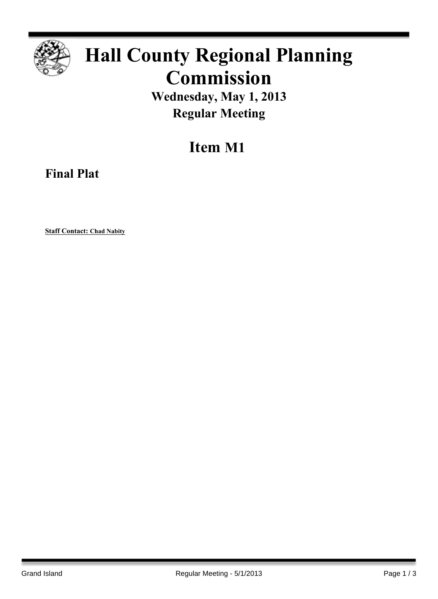

## **Hall County Regional Planning Commission**

**Wednesday, May 1, 2013 Regular Meeting**

**Item M1**

**Final Plat**

**Staff Contact: Chad Nabity**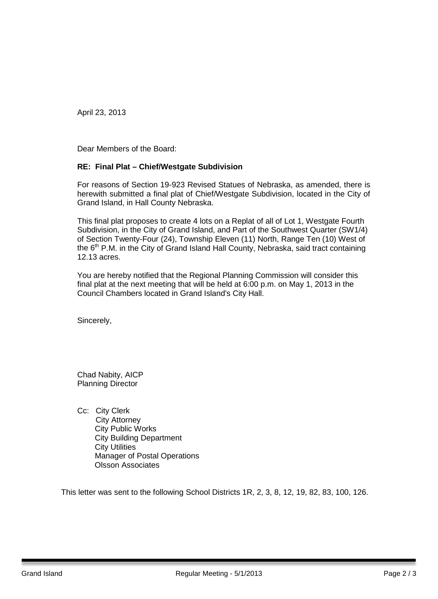April 23, 2013

Dear Members of the Board:

## **RE: Final Plat – Chief/Westgate Subdivision**

For reasons of Section 19-923 Revised Statues of Nebraska, as amended, there is herewith submitted a final plat of Chief/Westgate Subdivision, located in the City of Grand Island, in Hall County Nebraska.

This final plat proposes to create 4 lots on a Replat of all of Lot 1, Westgate Fourth Subdivision, in the City of Grand Island, and Part of the Southwest Quarter (SW1/4) of Section Twenty-Four (24), Township Eleven (11) North, Range Ten (10) West of the  $6<sup>th</sup>$  P.M. in the City of Grand Island Hall County, Nebraska, said tract containing 12.13 acres.

You are hereby notified that the Regional Planning Commission will consider this final plat at the next meeting that will be held at 6:00 p.m. on May 1, 2013 in the Council Chambers located in Grand Island's City Hall.

Sincerely,

Chad Nabity, AICP Planning Director

Cc: City Clerk City Attorney City Public Works City Building Department City Utilities Manager of Postal Operations Olsson Associates

This letter was sent to the following School Districts 1R, 2, 3, 8, 12, 19, 82, 83, 100, 126.